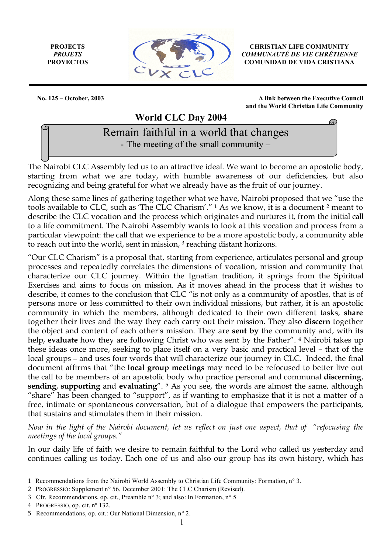**PROJECTS** *PROJETS* **PROYECTOS**



**CHRISTIAN LIFE COMMUNITY** *COMMUNAUTÉ DE VIE CHRÉTIENNE* **COMUNIDAD DE VIDA CRISTIANA**

Œ

**No. 125 – October, 2003****A link between the Executive Council and the World Christian Life Community**

 **World CLC Day 2004**

Remain faithful in a world that changes - The meeting of the small community –

The Nairobi CLC Assembly led us to an attractive ideal. We want to become an apostolic body, starting from what we are today, with humble awareness of our deficiencies, but also recognizing and being grateful for what we already have as the fruit of our journey.

Along these same lines of gathering together what we have, Nairobi proposed that we "use the tools available to CLC, such as 'The CLC Charism'." 1 As we know, it is a document 2 meant to describe the CLC vocation and the process which originates and nurtures it, from the initial call to a life commitment. The Nairobi Assembly wants to look at this vocation and process from a particular viewpoint: the call that we experience to be a more apostolic body, a community able to reach out into the world, sent in mission, <sup>3</sup> reaching distant horizons.

"Our CLC Charism" is a proposal that, starting from experience, articulates personal and group processes and repeatedly correlates the dimensions of vocation, mission and community that characterize our CLC journey. Within the Ignatian tradition, it springs from the Spiritual Exercises and aims to focus on mission. As it moves ahead in the process that it wishes to describe, it comes to the conclusion that CLC "is not only as a community of apostles, that is of persons more or less committed to their own individual missions, but rather, it is an apostolic community in which the members, although dedicated to their own different tasks, **share** together their lives and the way they each carry out their mission. They also **discern** together the object and content of each other's mission. They are **sent by** the community and, with its help, **evaluate** how they are following Christ who was sent by the Father". 4 Nairobi takes up these ideas once more, seeking to place itself on a very basic and practical level – that of the local groups – and uses four words that will characterize our journey in CLC. Indeed, the final document affirms that "the **local group meetings** may need to be refocused to better live out the call to be members of an apostolic body who practice personal and communal **discerning**, **sending**, **supporting** and **evaluating**". 5 As you see, the words are almost the same, although "share" has been changed to "support", as if wanting to emphasize that it is not a matter of a free, intimate or spontaneous conversation, but of a dialogue that empowers the participants, that sustains and stimulates them in their mission.

*Now in the light of the Nairobi document, let us reflect on just one aspect, that of "refocusing the meetings of the local groups."*

In our daily life of faith we desire to remain faithful to the Lord who called us yesterday and continues calling us today. Each one of us and also our group has its own history, which has

 $\overline{a}$ 

<sup>1</sup> Recommendations from the Nairobi World Assembly to Christian Life Community: Formation, n° 3.

<sup>2</sup> PROGRESSIO: Supplement n° 56, December 2001: The CLC Charism (Revised).

<sup>3</sup> Cfr. Recommendations, op. cit., Preamble n° 3; and also: In Formation, n° 5

<sup>4</sup> PROGRESSIO, op. cit. nº 132.

<sup>5</sup> Recommendations, op. cit.: Our National Dimension, n° 2.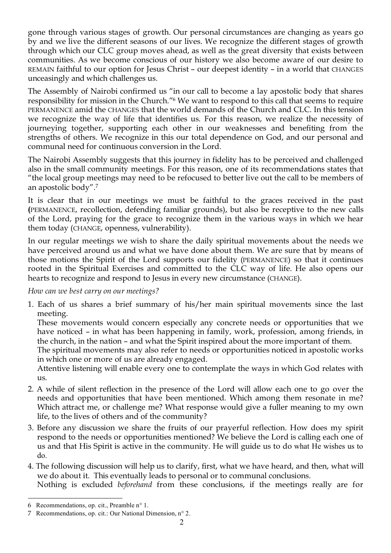gone through various stages of growth. Our personal circumstances are changing as years go by and we live the different seasons of our lives. We recognize the different stages of growth through which our CLC group moves ahead, as well as the great diversity that exists between communities. As we become conscious of our history we also become aware of our desire to REMAIN faithful to our option for Jesus Christ – our deepest identity – in a world that CHANGES unceasingly and which challenges us.

The Assembly of Nairobi confirmed us "in our call to become a lay apostolic body that shares responsibility for mission in the Church."6 We want to respond to this call that seems to require PERMANENCE amid the CHANGES that the world demands of the Church and CLC. In this tension we recognize the way of life that identifies us. For this reason, we realize the necessity of journeying together, supporting each other in our weaknesses and benefiting from the strengths of others. We recognize in this our total dependence on God, and our personal and communal need for continuous conversion in the Lord.

The Nairobi Assembly suggests that this journey in fidelity has to be perceived and challenged also in the small community meetings. For this reason, one of its recommendations states that "the local group meetings may need to be refocused to better live out the call to be members of an apostolic body".7

It is clear that in our meetings we must be faithful to the graces received in the past **(**PERMANENCE, recollection, defending familiar grounds), but also be receptive to the new calls of the Lord, praying for the grace to recognize them in the various ways in which we hear them today (CHANGE, openness, vulnerability).

In our regular meetings we wish to share the daily spiritual movements about the needs we have perceived around us and what we have done about them. We are sure that by means of those motions the Spirit of the Lord supports our fidelity (PERMANENCE) so that it continues rooted in the Spiritual Exercises and committed to the CLC way of life. He also opens our hearts to recognize and respond to Jesus in every new circumstance (CHANGE).

## *How can we best carry on our meetings?*

1. Each of us shares a brief summary of his/her main spiritual movements since the last meeting.

These movements would concern especially any concrete needs or opportunities that we have noticed – in what has been happening in family, work, profession, among friends, in the church, in the nation – and what the Spirit inspired about the more important of them.

The spiritual movements may also refer to needs or opportunities noticed in apostolic works in which one or more of us are already engaged.

Attentive listening will enable every one to contemplate the ways in which God relates with us.

- 2. A while of silent reflection in the presence of the Lord will allow each one to go over the needs and opportunities that have been mentioned. Which among them resonate in me? Which attract me, or challenge me? What response would give a fuller meaning to my own life, to the lives of others and of the community?
- 3. Before any discussion we share the fruits of our prayerful reflection. How does my spirit respond to the needs or opportunities mentioned? We believe the Lord is calling each one of us and that His Spirit is active in the community. He will guide us to do what He wishes us to do.
- 4. The following discussion will help us to clarify, first, what we have heard, and then, what will we do about it. This eventually leads to personal or to communal conclusions.

 $\overline{a}$ 

Nothing is excluded *beforehand* from these conclusions, if the meetings really are for

<sup>6</sup> Recommendations, op. cit., Preamble n° 1.

<sup>7</sup> Recommendations, op. cit.: Our National Dimension, n° 2.